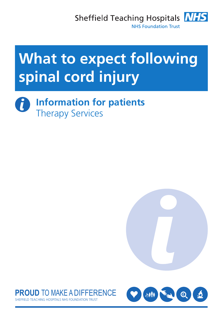

# **What to expect following spinal cord injury**

**Information for patients**  $\mathbf i$ Therapy Services





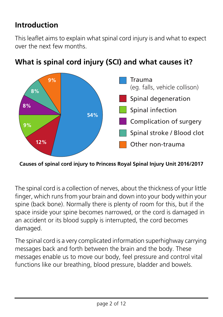## **Introduction**

This leaflet aims to explain what spinal cord injury is and what to expect over the next few months.



## **What is spinal cord injury (SCI) and what causes it?**

**Causes of spinal cord injury to Princess Royal Spinal Injury Unit 2016/2017**

The spinal cord is a collection of nerves, about the thickness of your little finger, which runs from your brain and down into your body within your spine (back bone). Normally there is plenty of room for this, but if the space inside your spine becomes narrowed, or the cord is damaged in an accident or its blood supply is interrupted, the cord becomes damaged.

The spinal cord is a very complicated information superhighway carrying messages back and forth between the brain and the body. These messages enable us to move our body, feel pressure and control vital functions like our breathing, blood pressure, bladder and bowels.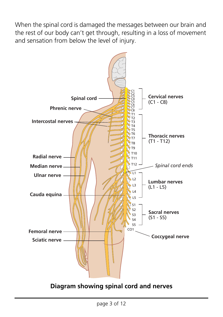When the spinal cord is damaged the messages between our brain and the rest of our body can't get through, resulting in a loss of movement and sensation from below the level of injury.

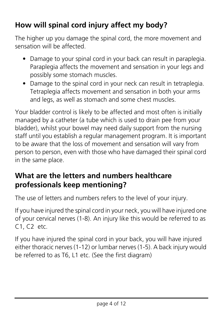## **How will spinal cord injury affect my body?**

The higher up you damage the spinal cord, the more movement and sensation will be affected.

- Damage to your spinal cord in your back can result in paraplegia. Paraplegia affects the movement and sensation in your legs and possibly some stomach muscles.
- Damage to the spinal cord in your neck can result in tetraplegia. Tetraplegia affects movement and sensation in both your arms and legs, as well as stomach and some chest muscles.

Your bladder control is likely to be affected and most often is initially managed by a catheter (a tube which is used to drain pee from your bladder), whilst your bowel may need daily support from the nursing staff until you establish a regular management program. It is important to be aware that the loss of movement and sensation will vary from person to person, even with those who have damaged their spinal cord in the same place.

## **What are the letters and numbers healthcare professionals keep mentioning?**

The use of letters and numbers refers to the level of your injury.

If you have injured the spinal cord in your neck, you will have injured one of your cervical nerves (1-8). An injury like this would be referred to as C1, C2 etc.

If you have injured the spinal cord in your back, you will have injured either thoracic nerves (1-12) or lumbar nerves (1-5). A back injury would be referred to as T6, L1 etc. (See the first diagram)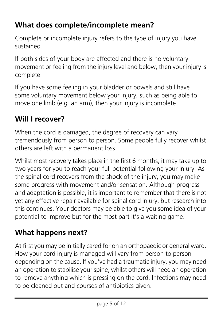## **What does complete/incomplete mean?**

Complete or incomplete injury refers to the type of injury you have sustained.

If both sides of your body are affected and there is no voluntary movement or feeling from the injury level and below, then your injury is complete.

If you have some feeling in your bladder or bowels and still have some voluntary movement below your injury, such as being able to move one limb (e.g. an arm), then your injury is incomplete.

## **Will I recover?**

When the cord is damaged, the degree of recovery can vary tremendously from person to person. Some people fully recover whilst others are left with a permanent loss.

Whilst most recovery takes place in the first 6 months, it may take up to two years for you to reach your full potential following your injury. As the spinal cord recovers from the shock of the injury, you may make some progress with movement and/or sensation. Although progress and adaptation is possible, it is important to remember that there is not yet any effective repair available for spinal cord injury, but research into this continues. Your doctors may be able to give you some idea of your potential to improve but for the most part it's a waiting game.

## **What happens next?**

At first you may be initially cared for on an orthopaedic or general ward. How your cord injury is managed will vary from person to person depending on the cause. If you've had a traumatic injury, you may need an operation to stabilise your spine, whilst others will need an operation to remove anything which is pressing on the cord. Infections may need to be cleaned out and courses of antibiotics given.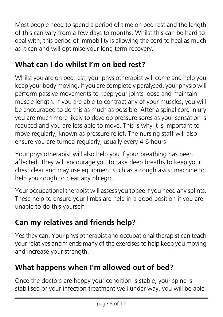Most people need to spend a period of time on bed rest and the length of this can vary from a few days to months. Whilst this can be hard to deal with, this period of immobility is allowing the cord to heal as much as it can and will optimise your long term recovery.

## **What can I do whilst I'm on bed rest?**

Whilst you are on bed rest, your physiotherapist will come and help you keep your body moving. If you are completely paralysed, your physio will perform passive movements to keep your joints loose and maintain muscle length. If you are able to contract any of your muscles, you will be encouraged to do this as much as possible. After a spinal cord injury you are much more likely to develop pressure sores as your sensation is reduced and you are less able to move. This is why it is important to move regularly, known as pressure relief. The nursing staff will also ensure you are turned regularly, usually every 4-6 hours

Your physiotherapist will also help you if your breathing has been affected. They will encourage you to take deep breaths to keep your chest clear and may use equipment such as a cough assist machine to help you cough to clear any phlegm.

Your occupational therapist will assess you to see if you need any splints. These help to ensure your limbs are held in a good position if you are unable to do this yourself.

## **Can my relatives and friends help?**

Yes they can. Your physiotherapist and occupational therapist can teach your relatives and friends many of the exercises to help keep you moving and increase your strength.

## **What happens when I'm allowed out of bed?**

Once the doctors are happy your condition is stable, your spine is stabilised or your infection treatment well under way, you will be able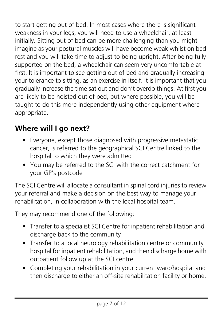to start getting out of bed. In most cases where there is significant weakness in your legs, you will need to use a wheelchair, at least initially. Sitting out of bed can be more challenging than you might imagine as your postural muscles will have become weak whilst on bed rest and you will take time to adjust to being upright. After being fully supported on the bed, a wheelchair can seem very uncomfortable at first. It is important to see getting out of bed and gradually increasing your tolerance to sitting, as an exercise in itself. It is important that you gradually increase the time sat out and don't overdo things. At first you are likely to be hoisted out of bed, but where possible, you will be taught to do this more independently using other equipment where appropriate.

## **Where will I go next?**

- Everyone, except those diagnosed with progressive metastatic cancer, is referred to the geographical SCI Centre linked to the hospital to which they were admitted
- You may be referred to the SCI with the correct catchment for your GP's postcode

The SCI Centre will allocate a consultant in spinal cord injuries to review your referral and make a decision on the best way to manage your rehabilitation, in collaboration with the local hospital team.

They may recommend one of the following:

- Transfer to a specialist SCI Centre for inpatient rehabilitation and discharge back to the community
- Transfer to a local neurology rehabilitation centre or community hospital for inpatient rehabilitation, and then discharge home with outpatient follow up at the SCI centre
- Completing your rehabilitation in your current ward/hospital and then discharge to either an off-site rehabilitation facility or home.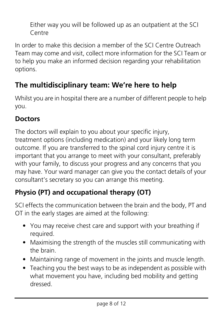Either way you will be followed up as an outpatient at the SCI Centre

In order to make this decision a member of the SCI Centre Outreach Team may come and visit, collect more information for the SCI Team or to help you make an informed decision regarding your rehabilitation options.

## **The multidisciplinary team: We're here to help**

Whilst you are in hospital there are a number of different people to help you.

#### **Doctors**

The doctors will explain to you about your specific injury, treatment options (including medication) and your likely long term outcome. If you are transferred to the spinal cord injury centre it is important that you arrange to meet with your consultant, preferably with your family, to discuss your progress and any concerns that you may have. Your ward manager can give you the contact details of your consultant's secretary so you can arrange this meeting.

## **Physio (PT) and occupational therapy (OT)**

SCI effects the communication between the brain and the body, PT and OT in the early stages are aimed at the following:

- You may receive chest care and support with your breathing if required.
- Maximising the strength of the muscles still communicating with the brain.
- Maintaining range of movement in the joints and muscle length.
- Teaching you the best ways to be as independent as possible with what movement you have, including bed mobility and getting dressed.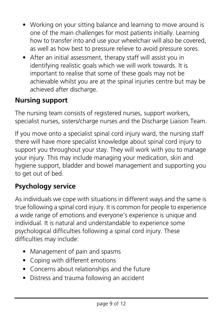- Working on your sitting balance and learning to move around is one of the main challenges for most patients initially. Learning how to transfer into and use your wheelchair will also be covered, as well as how best to pressure relieve to avoid pressure sores.
- After an initial assessment, therapy staff will assist you in identifying realistic goals which we will work towards. It is important to realise that some of these goals may not be achievable whilst you are at the spinal injuries centre but may be achieved after discharge.

### **Nursing support**

The nursing team consists of registered nurses, support workers, specialist nurses, sisters/charge nurses and the Discharge Liaison Team.

If you move onto a specialist spinal cord injury ward, the nursing staff there will have more specialist knowledge about spinal cord injury to support you throughout your stay. They will work with you to manage your injury. This may include managing your medication, skin and hygiene support, bladder and bowel management and supporting you to get out of bed.

#### **Psychology service**

As individuals we cope with situations in different ways and the same is true following a spinal cord injury. It is common for people to experience a wide range of emotions and everyone's experience is unique and individual. It is natural and understandable to experience some psychological difficulties following a spinal cord injury. These difficulties may include:

- Management of pain and spasms
- Coping with different emotions
- Concerns about relationships and the future
- Distress and trauma following an accident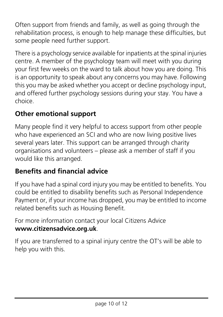Often support from friends and family, as well as going through the rehabilitation process, is enough to help manage these difficulties, but some people need further support.

There is a psychology service available for inpatients at the spinal injuries centre. A member of the psychology team will meet with you during your first few weeks on the ward to talk about how you are doing. This is an opportunity to speak about any concerns you may have. Following this you may be asked whether you accept or decline psychology input, and offered further psychology sessions during your stay. You have a choice.

#### **Other emotional support**

Many people find it very helpful to access support from other people who have experienced an SCI and who are now living positive lives several years later. This support can be arranged through charity organisations and volunteers – please ask a member of staff if you would like this arranged.

## **Benefits and financial advice**

If you have had a spinal cord injury you may be entitled to benefits. You could be entitled to disability benefits such as Personal Independence Payment or, if your income has dropped, you may be entitled to income related benefits such as Housing Benefit.

For more information contact your local Citizens Advice **www.citizensadvice.org.uk**.

If you are transferred to a spinal injury centre the OT's will be able to help you with this.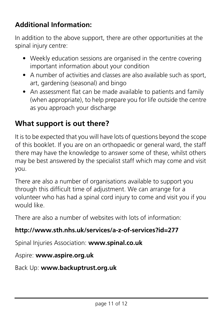## **Additional Information:**

In addition to the above support, there are other opportunities at the spinal injury centre:

- Weekly education sessions are organised in the centre covering important information about your condition
- A number of activities and classes are also available such as sport, art, gardening (seasonal) and bingo
- An assessment flat can be made available to patients and family (when appropriate), to help prepare you for life outside the centre as you approach your discharge

## **What support is out there?**

It is to be expected that you will have lots of questions beyond the scope of this booklet. If you are on an orthopaedic or general ward, the staff there may have the knowledge to answer some of these, whilst others may be best answered by the specialist staff which may come and visit you.

There are also a number of organisations available to support you through this difficult time of adjustment. We can arrange for a volunteer who has had a spinal cord injury to come and visit you if you would like.

There are also a number of websites with lots of information:

#### **http://www.sth.nhs.uk/services/a-z-of-services?id=277**

Spinal Injuries Association: **www.spinal.co.uk**

#### Aspire: **www.aspire.org.uk**

Back Up: **www.backuptrust.org.uk**